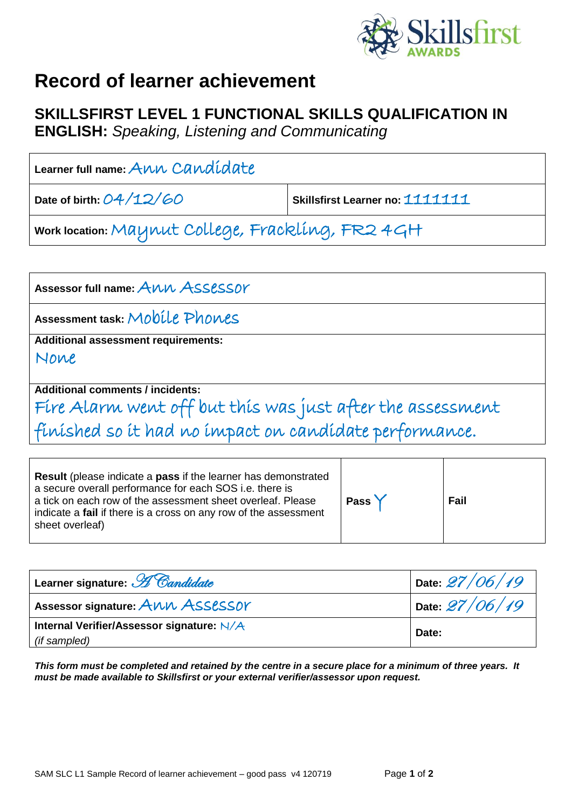

## **Record of learner achievement**

## **SKILLSFIRST LEVEL 1 FUNCTIONAL SKILLS QUALIFICATION IN**

**ENGLISH:** *Speaking, Listening and Communicating*

| Learner full name: $A\mu\nu\hskip-2.6pt\sim\hskip-2.6pt\sim C\hskip-2.6pt a\nu\hskip-2.6pt\sim\hskip-2.6pt\sim\hskip-2.6pt\sim\hskip-2.6pt\sim C\hskip-2.6pt a\nu\hskip-2.6pt\sim\hskip-2.6pt\sim\hskip-2.6pt\sim\hskip-2.6pt\sim\hskip-2.6pt\sim\hskip-2.6pt\sim\hskip-2.6pt\sim\hskip-2.6pt\sim\hskip-2.6pt\sim\hskip-2.6pt\sim\hskip-2.6pt\sim\h$ |                                 |
|------------------------------------------------------------------------------------------------------------------------------------------------------------------------------------------------------------------------------------------------------------------------------------------------------------------------------------------------------|---------------------------------|
| Date of birth: $O4/12/OO$                                                                                                                                                                                                                                                                                                                            | Skillsfirst Learner no: 1111111 |
| work location: Maynut College, Frackling, FR2 4GH                                                                                                                                                                                                                                                                                                    |                                 |

Assessor full name: ANN ASSESSOY **Assessment task:** Mobile Phones **Additional assessment requirements:** None **Additional comments / incidents:** Fire Alarm went off but this was just after the assessment finished so it had no impact on candidate performance.

| <b>Result</b> (please indicate a <b>pass</b> if the learner has demonstrated<br>a secure overall performance for each SOS i.e. there is<br>a tick on each row of the assessment sheet overleaf. Please<br>indicate a fail if there is a cross on any row of the assessment<br>sheet overleaf) | Pass Y | Fail |
|-----------------------------------------------------------------------------------------------------------------------------------------------------------------------------------------------------------------------------------------------------------------------------------------------|--------|------|
|-----------------------------------------------------------------------------------------------------------------------------------------------------------------------------------------------------------------------------------------------------------------------------------------------|--------|------|

| Learner signature: H Candidate                            | Date $27/06/19$ |
|-----------------------------------------------------------|-----------------|
| Assessor signature: ANN ASSESSOY                          | Date $27/06/19$ |
| Internal Verifier/Assessor signature: N/A<br>(if sampled) | Date:           |

*This form must be completed and retained by the centre in a secure place for a minimum of three years. It must be made available to Skillsfirst or your external verifier/assessor upon request.*